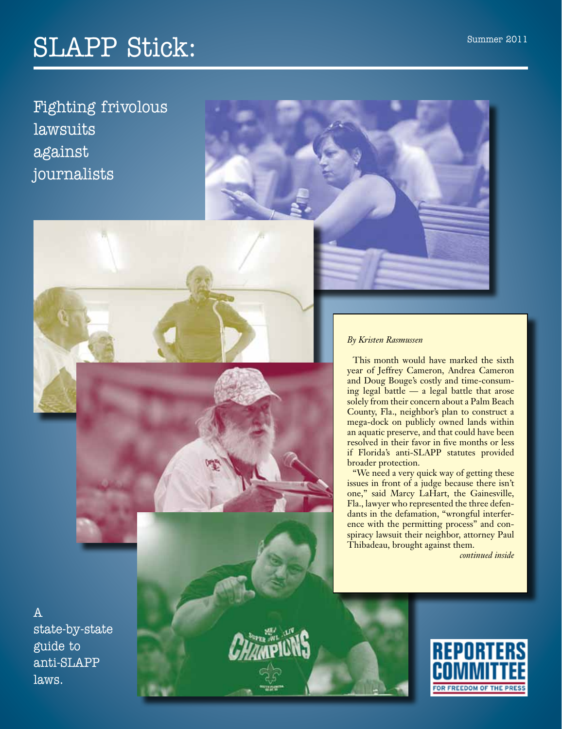# SLAPP Stick:

Fighting frivolous lawsuits against journalists



This month would have marked the sixth year of Jeffrey Cameron, Andrea Cameron and Doug Bouge's costly and time-consuming legal battle — a legal battle that arose solely from their concern about a Palm Beach County, Fla., neighbor's plan to construct a mega-dock on publicly owned lands within an aquatic preserve, and that could have been resolved in their favor in five months or less if Florida's anti-SLAPP statutes provided broader protection.

"We need a very quick way of getting these issues in front of a judge because there isn't one," said Marcy LaHart, the Gainesville, Fla., lawyer who represented the three defendants in the defamation, "wrongful interference with the permitting process" and conspiracy lawsuit their neighbor, attorney Paul Thibadeau, brought against them.

*continued inside*

A state-by-state guide to anti-SLAPP laws.

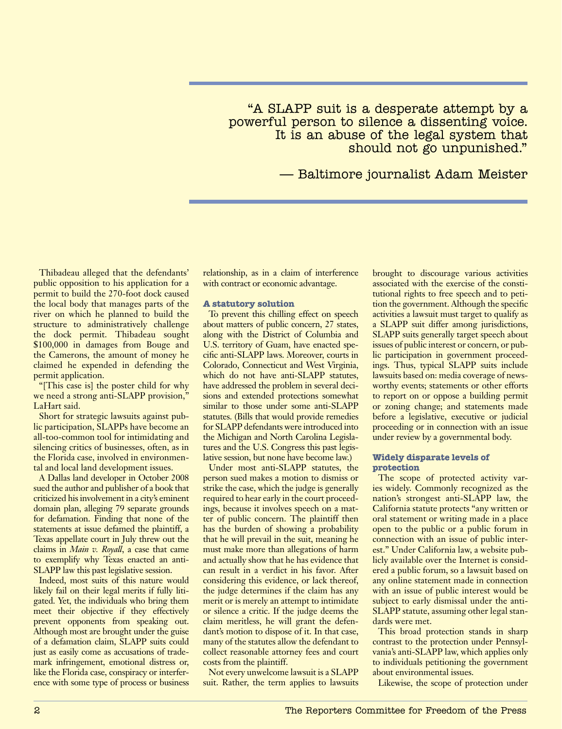"A SLAPP suit is a desperate attempt by a powerful person to silence a dissenting voice. It is an abuse of the legal system that should not go unpunished."

— Baltimore journalist Adam Meister

Thibadeau alleged that the defendants' public opposition to his application for a permit to build the 270-foot dock caused the local body that manages parts of the river on which he planned to build the structure to administratively challenge the dock permit. Thibadeau sought \$100,000 in damages from Bouge and the Camerons, the amount of money he claimed he expended in defending the permit application.

"[This case is] the poster child for why we need a strong anti-SLAPP provision," LaHart said.

Short for strategic lawsuits against public participation, SLAPPs have become an all-too-common tool for intimidating and silencing critics of businesses, often, as in the Florida case, involved in environmental and local land development issues.

A Dallas land developer in October 2008 sued the author and publisher of a book that criticized his involvement in a city's eminent domain plan, alleging 79 separate grounds for defamation. Finding that none of the statements at issue defamed the plaintiff, a Texas appellate court in July threw out the claims in *Main v. Royall*, a case that came to exemplify why Texas enacted an anti-SLAPP law this past legislative session.

Indeed, most suits of this nature would likely fail on their legal merits if fully litigated. Yet, the individuals who bring them meet their objective if they effectively prevent opponents from speaking out. Although most are brought under the guise of a defamation claim, SLAPP suits could just as easily come as accusations of trademark infringement, emotional distress or, like the Florida case, conspiracy or interference with some type of process or business relationship, as in a claim of interference with contract or economic advantage.

#### **A statutory solution**

To prevent this chilling effect on speech about matters of public concern, 27 states, along with the District of Columbia and U.S. territory of Guam, have enacted specific anti-SLAPP laws. Moreover, courts in Colorado, Connecticut and West Virginia, which do not have anti-SLAPP statutes, have addressed the problem in several decisions and extended protections somewhat similar to those under some anti-SLAPP statutes. (Bills that would provide remedies for SLAPP defendants were introduced into the Michigan and North Carolina Legislatures and the U.S. Congress this past legislative session, but none have become law.)

Under most anti-SLAPP statutes, the person sued makes a motion to dismiss or strike the case, which the judge is generally required to hear early in the court proceedings, because it involves speech on a matter of public concern. The plaintiff then has the burden of showing a probability that he will prevail in the suit, meaning he must make more than allegations of harm and actually show that he has evidence that can result in a verdict in his favor. After considering this evidence, or lack thereof, the judge determines if the claim has any merit or is merely an attempt to intimidate or silence a critic. If the judge deems the claim meritless, he will grant the defendant's motion to dispose of it. In that case, many of the statutes allow the defendant to collect reasonable attorney fees and court costs from the plaintiff.

Not every unwelcome lawsuit is a SLAPP suit. Rather, the term applies to lawsuits brought to discourage various activities associated with the exercise of the constitutional rights to free speech and to petition the government. Although the specific activities a lawsuit must target to qualify as a SLAPP suit differ among jurisdictions, SLAPP suits generally target speech about issues of public interest or concern, or public participation in government proceedings. Thus, typical SLAPP suits include lawsuits based on: media coverage of newsworthy events; statements or other efforts to report on or oppose a building permit or zoning change; and statements made before a legislative, executive or judicial proceeding or in connection with an issue under review by a governmental body.

#### **Widely disparate levels of protection**

The scope of protected activity varies widely. Commonly recognized as the nation's strongest anti-SLAPP law, the California statute protects "any written or oral statement or writing made in a place open to the public or a public forum in connection with an issue of public interest." Under California law, a website publicly available over the Internet is considered a public forum, so a lawsuit based on any online statement made in connection with an issue of public interest would be subject to early dismissal under the anti-SLAPP statute, assuming other legal standards were met.

This broad protection stands in sharp contrast to the protection under Pennsylvania's anti-SLAPP law, which applies only to individuals petitioning the government about environmental issues.

Likewise, the scope of protection under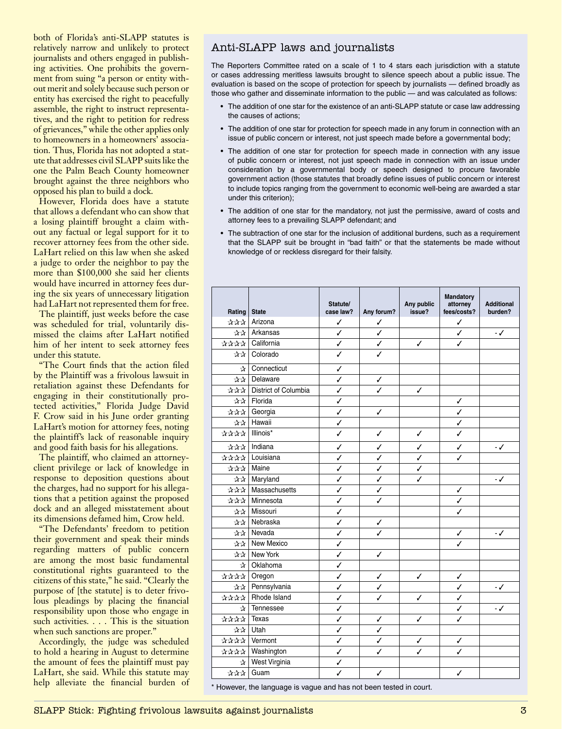both of Florida's anti-SLAPP statutes is relatively narrow and unlikely to protect journalists and others engaged in publishing activities. One prohibits the government from suing "a person or entity without merit and solely because such person or entity has exercised the right to peacefully assemble, the right to instruct representatives, and the right to petition for redress of grievances," while the other applies only to homeowners in a homeowners' association. Thus, Florida has not adopted a statute that addresses civil SLAPP suits like the one the Palm Beach County homeowner brought against the three neighbors who opposed his plan to build a dock.

However, Florida does have a statute that allows a defendant who can show that a losing plaintiff brought a claim without any factual or legal support for it to recover attorney fees from the other side. LaHart relied on this law when she asked a judge to order the neighbor to pay the more than \$100,000 she said her clients would have incurred in attorney fees during the six years of unnecessary litigation had LaHart not represented them for free.

The plaintiff, just weeks before the case was scheduled for trial, voluntarily dismissed the claims after LaHart notified him of her intent to seek attorney fees under this statute.

"The Court finds that the action filed by the Plaintiff was a frivolous lawsuit in retaliation against these Defendants for engaging in their constitutionally protected activities," Florida Judge David F. Crow said in his June order granting LaHart's motion for attorney fees, noting the plaintiff's lack of reasonable inquiry and good faith basis for his allegations.

The plaintiff, who claimed an attorneyclient privilege or lack of knowledge in response to deposition questions about the charges, had no support for his allegations that a petition against the proposed dock and an alleged misstatement about its dimensions defamed him, Crow held.

"The Defendants' freedom to petition their government and speak their minds regarding matters of public concern are among the most basic fundamental constitutional rights guaranteed to the citizens of this state," he said. "Clearly the purpose of [the statute] is to deter frivolous pleadings by placing the financial responsibility upon those who engage in such activities. . . . This is the situation when such sanctions are proper."

Accordingly, the judge was scheduled to hold a hearing in August to determine the amount of fees the plaintiff must pay LaHart, she said. While this statute may help alleviate the financial burden of

# Anti-SLAPP laws and journalists

The Reporters Committee rated on a scale of 1 to 4 stars each jurisdiction with a statute or cases addressing meritless lawsuits brought to silence speech about a public issue. The evaluation is based on the scope of protection for speech by journalists — defined broadly as those who gather and disseminate information to the public — and was calculated as follows:

- The addition of one star for the existence of an anti-SLAPP statute or case law addressing the causes of actions;
- The addition of one star for protection for speech made in any forum in connection with an issue of public concern or interest, not just speech made before a governmental body;
- The addition of one star for protection for speech made in connection with any issue of public concern or interest, not just speech made in connection with an issue under consideration by a governmental body or speech designed to procure favorable government action (those statutes that broadly define issues of public concern or interest to include topics ranging from the government to economic well-being are awarded a star under this criterion);
- The addition of one star for the mandatory, not just the permissive, award of costs and attorney fees to a prevailing SLAPP defendant; and
- The subtraction of one star for the inclusion of additional burdens, such as a requirement that the SLAPP suit be brought in "bad faith" or that the statements be made without knowledge of or reckless disregard for their falsity.

| Rating         | <b>State</b>         | Statute/<br>case law?   | Any forum?   | Any public<br>issue? | <b>Mandatory</b><br>attorney<br>fees/costs? | <b>Additional</b><br>burden? |
|----------------|----------------------|-------------------------|--------------|----------------------|---------------------------------------------|------------------------------|
| ☆☆☆            | Arizona              | ✓                       | √            |                      | ✓                                           |                              |
| ☆☆             | Arkansas             | $\checkmark$            | ✓            |                      | ✓                                           | $\cdot$ /                    |
| ****           | California           | $\checkmark$            | $\checkmark$ | ✓                    | ✓                                           |                              |
| ☆☆             | Colorado             | $\checkmark$            | J            |                      |                                             |                              |
| $\mathbf{x}$   | Connecticut          | ✓                       |              |                      |                                             |                              |
| ☆☆             | Delaware             | ✓                       | ✓            |                      |                                             |                              |
| 부부부            | District of Columbia | ✓                       | ✓            | ✓                    |                                             |                              |
| 주주             | Florida              | $\checkmark$            |              |                      | ✓                                           |                              |
| ***            | Georgia              | $\checkmark$            | ✓            |                      | J                                           |                              |
|                | ☆☆ Hawaii            | ✓                       |              |                      | ✓                                           |                              |
| ☆☆☆☆ Illinois* |                      | $\overline{\checkmark}$ | $\checkmark$ | $\checkmark$         | J                                           |                              |
| <b>☆☆☆</b>     | Indiana              | ✓                       | ✓            | ✓                    | ✓                                           | $\cdot$ /                    |
| ****           | Louisiana            | ✓                       | ✓            | ✓                    | ✓                                           |                              |
| ***            | Maine                | ✓                       | ✓            | ✓                    |                                             |                              |
| ☆☆             | Maryland             | ✓                       | ✓            | ✓                    |                                             | $\cdot$ /                    |
| 부부부            | Massachusetts        | $\checkmark$            | ✓            |                      | ✓                                           |                              |
| ***            | Minnesota            | $\checkmark$            | ✓            |                      | ✓                                           |                              |
| ☆☆             | Missouri             | $\checkmark$            |              |                      | J                                           |                              |
| ***            | Nebraska             | J                       | ✓            |                      |                                             |                              |
| 소소             | Nevada               | ✓                       | ✓            |                      | ✓                                           | $\cdot$ /                    |
| 소소             | New Mexico           | J                       |              |                      | J                                           |                              |
| ☆☆             | New York             | ✓                       | ✓            |                      |                                             |                              |
| $\mathbf{x}$   | Oklahoma             | ✓                       |              |                      |                                             |                              |
| ****           | Oregon               | ✓                       | ✓            | ✓                    | ✓                                           |                              |
| ☆☆             | Pennsylvania         | ✓                       | ✓            |                      | ✓                                           | $\cdot$ /                    |
| ****           | Rhode Island         | ✓                       | ✓            | ✓                    | ✓                                           |                              |
| ☆              | Tennessee            | ✓                       |              |                      | ✓                                           | $\cdot$ /                    |
| ****           | Texas                | ✓                       | ✓            | ✓                    | ✓                                           |                              |
| ☆☆             | Utah                 | ✓                       | ✓            |                      |                                             |                              |
| 장장장장           | Vermont              | ✓                       | ✓            | ✓                    | ✓                                           |                              |
| 부부부부           | Washington           | ✓                       | ✓            | ✓                    | ✓                                           |                              |
| ☆              | West Virginia        | ✓                       |              |                      |                                             |                              |
| ***            | Guam                 | J                       | J            |                      | ✓                                           |                              |

\* However, the language is vague and has not been tested in court.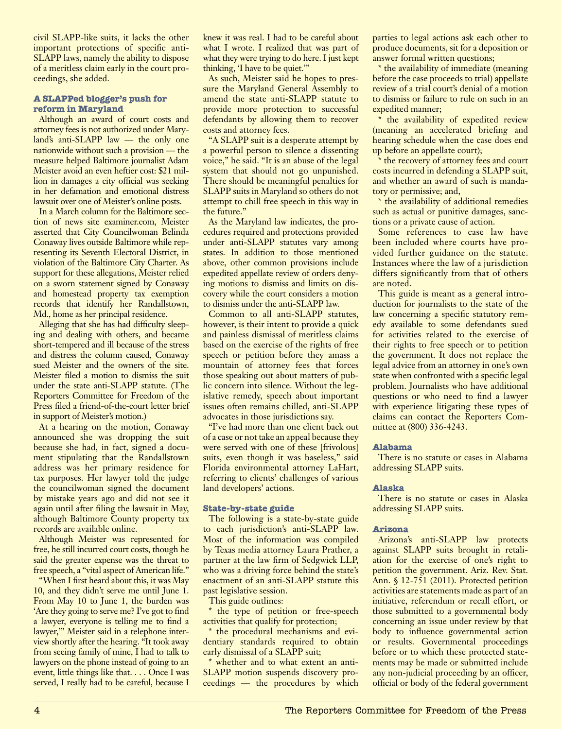civil SLAPP-like suits, it lacks the other important protections of specific anti-SLAPP laws, namely the ability to dispose of a meritless claim early in the court proceedings, she added.

#### **A SLAPPed blogger's push for reform in Maryland**

Although an award of court costs and attorney fees is not authorized under Maryland's anti-SLAPP law — the only one nationwide without such a provision — the measure helped Baltimore journalist Adam Meister avoid an even heftier cost: \$21 million in damages a city official was seeking in her defamation and emotional distress lawsuit over one of Meister's online posts.

In a March column for the Baltimore section of news site examiner.com, Meister asserted that City Councilwoman Belinda Conaway lives outside Baltimore while representing its Seventh Electoral District, in violation of the Baltimore City Charter. As support for these allegations, Meister relied on a sworn statement signed by Conaway and homestead property tax exemption records that identify her Randallstown, Md., home as her principal residence.

Alleging that she has had difficulty sleeping and dealing with others, and became short-tempered and ill because of the stress and distress the column caused, Conaway sued Meister and the owners of the site. Meister filed a motion to dismiss the suit under the state anti-SLAPP statute. (The Reporters Committee for Freedom of the Press filed a friend-of-the-court letter brief in support of Meister's motion.)

At a hearing on the motion, Conaway announced she was dropping the suit because she had, in fact, signed a document stipulating that the Randallstown address was her primary residence for tax purposes. Her lawyer told the judge the councilwoman signed the document by mistake years ago and did not see it again until after filing the lawsuit in May, although Baltimore County property tax records are available online.

Although Meister was represented for free, he still incurred court costs, though he said the greater expense was the threat to free speech, a "vital aspect of American life."

"When I first heard about this, it was May 10, and they didn't serve me until June 1. From May 10 to June 1, the burden was 'Are they going to serve me? I've got to find a lawyer, everyone is telling me to find a lawyer,'" Meister said in a telephone interview shortly after the hearing. "It took away from seeing family of mine, I had to talk to lawyers on the phone instead of going to an event, little things like that. . . . Once I was served, I really had to be careful, because I knew it was real. I had to be careful about what I wrote. I realized that was part of what they were trying to do here. I just kept thinking, 'I have to be quiet.'"

As such, Meister said he hopes to pressure the Maryland General Assembly to amend the state anti-SLAPP statute to provide more protection to successful defendants by allowing them to recover costs and attorney fees.

"A SLAPP suit is a desperate attempt by a powerful person to silence a dissenting voice," he said. "It is an abuse of the legal system that should not go unpunished. There should be meaningful penalties for SLAPP suits in Maryland so others do not attempt to chill free speech in this way in the future."

As the Maryland law indicates, the procedures required and protections provided under anti-SLAPP statutes vary among states. In addition to those mentioned above, other common provisions include expedited appellate review of orders denying motions to dismiss and limits on discovery while the court considers a motion to dismiss under the anti-SLAPP law.

Common to all anti-SLAPP statutes, however, is their intent to provide a quick and painless dismissal of meritless claims based on the exercise of the rights of free speech or petition before they amass a mountain of attorney fees that forces those speaking out about matters of public concern into silence. Without the legislative remedy, speech about important issues often remains chilled, anti-SLAPP advocates in those jurisdictions say.

"I've had more than one client back out of a case or not take an appeal because they were served with one of these [frivolous] suits, even though it was baseless," said Florida environmental attorney LaHart, referring to clients' challenges of various land developers' actions.

#### **State-by-state guide**

The following is a state-by-state guide to each jurisdiction's anti-SLAPP law. Most of the information was compiled by Texas media attorney Laura Prather, a partner at the law firm of Sedgwick LLP, who was a driving force behind the state's enactment of an anti-SLAPP statute this past legislative session.

This guide outlines:

\* the type of petition or free-speech activities that qualify for protection;

\* the procedural mechanisms and evidentiary standards required to obtain early dismissal of a SLAPP suit;

\* whether and to what extent an anti-SLAPP motion suspends discovery proceedings — the procedures by which parties to legal actions ask each other to produce documents, sit for a deposition or answer formal written questions;

\* the availability of immediate (meaning before the case proceeds to trial) appellate review of a trial court's denial of a motion to dismiss or failure to rule on such in an expedited manner;

the availability of expedited review (meaning an accelerated briefing and hearing schedule when the case does end up before an appellate court);

\* the recovery of attorney fees and court costs incurred in defending a SLAPP suit, and whether an award of such is mandatory or permissive; and,

\* the availability of additional remedies such as actual or punitive damages, sanctions or a private cause of action.

Some references to case law have been included where courts have provided further guidance on the statute. Instances where the law of a jurisdiction differs significantly from that of others are noted.

This guide is meant as a general introduction for journalists to the state of the law concerning a specific statutory remedy available to some defendants sued for activities related to the exercise of their rights to free speech or to petition the government. It does not replace the legal advice from an attorney in one's own state when confronted with a specific legal problem. Journalists who have additional questions or who need to find a lawyer with experience litigating these types of claims can contact the Reporters Committee at (800) 336-4243.

# **Alabama**

There is no statute or cases in Alabama addressing SLAPP suits.

# **Alaska**

There is no statute or cases in Alaska addressing SLAPP suits.

#### **Arizona**

Arizona's anti-SLAPP law protects against SLAPP suits brought in retaliation for the exercise of one's right to petition the government. Ariz. Rev. Stat. Ann. § 12-751 (2011). Protected petition activities are statements made as part of an initiative, referendum or recall effort, or those submitted to a governmental body concerning an issue under review by that body to influence governmental action or results. Governmental proceedings before or to which these protected statements may be made or submitted include any non-judicial proceeding by an officer, official or body of the federal government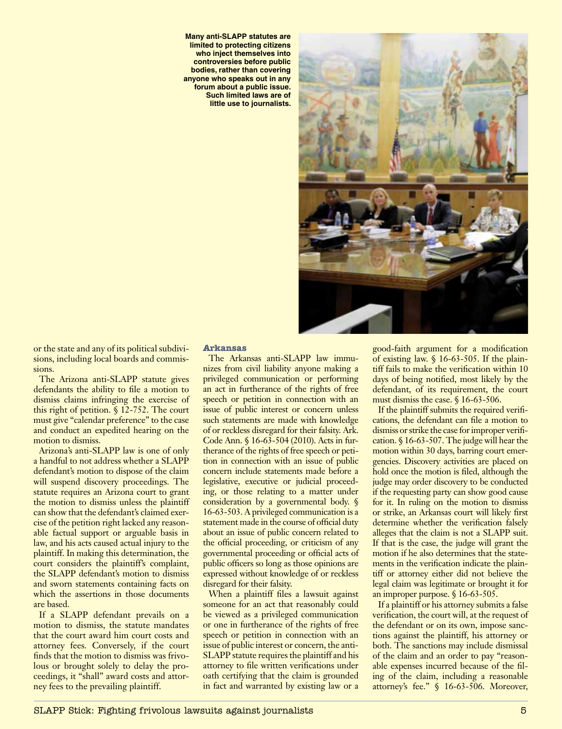**Many anti-SLAPP statutes are limited to protecting citizens who inject themselves into controversies before public bodies, rather than covering anyone who speaks out in any forum about a public issue. Such limited laws are of little use to journalists.**



or the state and any of its political subdivisions, including local boards and commissions.

The Arizona anti-SLAPP statute gives defendants the ability to file a motion to dismiss claims infringing the exercise of this right of petition. § 12-752. The court must give "calendar preference" to the case and conduct an expedited hearing on the motion to dismiss.

Arizona's anti-SLAPP law is one of only a handful to not address whether a SLAPP defendant's motion to dispose of the claim will suspend discovery proceedings. The statute requires an Arizona court to grant the motion to dismiss unless the plaintiff can show that the defendant's claimed exercise of the petition right lacked any reasonable factual support or arguable basis in law, and his acts caused actual injury to the plaintiff. In making this determination, the court considers the plaintiff's complaint, the SLAPP defendant's motion to dismiss and sworn statements containing facts on which the assertions in those documents are based.

If a SLAPP defendant prevails on a motion to dismiss, the statute mandates that the court award him court costs and attorney fees. Conversely, if the court finds that the motion to dismiss was frivolous or brought solely to delay the proceedings, it "shall" award costs and attorney fees to the prevailing plaintiff.

#### **Arkansas**

The Arkansas anti-SLAPP law immunizes from civil liability anyone making a privileged communication or performing an act in furtherance of the rights of free speech or petition in connection with an issue of public interest or concern unless such statements are made with knowledge of or reckless disregard for their falsity. Ark. Code Ann. § 16-63-504 (2010). Acts in furtherance of the rights of free speech or petition in connection with an issue of public concern include statements made before a legislative, executive or judicial proceeding, or those relating to a matter under consideration by a governmental body. § 16-63-503. A privileged communication is a statement made in the course of official duty about an issue of public concern related to the official proceeding, or criticism of any governmental proceeding or official acts of public officers so long as those opinions are expressed without knowledge of or reckless disregard for their falsity.

When a plaintiff files a lawsuit against someone for an act that reasonably could be viewed as a privileged communication or one in furtherance of the rights of free speech or petition in connection with an issue of public interest or concern, the anti-SLAPP statute requires the plaintiff and his attorney to file written verifications under oath certifying that the claim is grounded in fact and warranted by existing law or a good-faith argument for a modification of existing law. § 16-63-505. If the plaintiff fails to make the verification within 10 days of being notified, most likely by the defendant, of its requirement, the court must dismiss the case. § 16-63-506.

If the plaintiff submits the required verifications, the defendant can file a motion to dismiss or strike the case for improper verification. § 16-63-507. The judge will hear the motion within 30 days, barring court emergencies. Discovery activities are placed on hold once the motion is filed, although the judge may order discovery to be conducted if the requesting party can show good cause for it. In ruling on the motion to dismiss or strike, an Arkansas court will likely first determine whether the verification falsely alleges that the claim is not a SLAPP suit. If that is the case, the judge will grant the motion if he also determines that the statements in the verification indicate the plaintiff or attorney either did not believe the legal claim was legitimate or brought it for an improper purpose. § 16-63-505.

If a plaintiff or his attorney submits a false verification, the court will, at the request of the defendant or on its own, impose sanctions against the plaintiff, his attorney or both. The sanctions may include dismissal of the claim and an order to pay "reasonable expenses incurred because of the filing of the claim, including a reasonable attorney's fee." § 16-63-506. Moreover,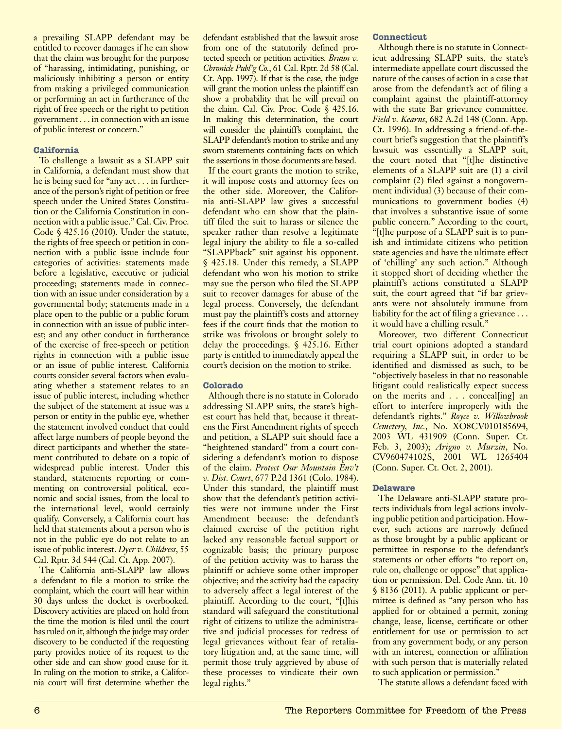a prevailing SLAPP defendant may be entitled to recover damages if he can show that the claim was brought for the purpose of "harassing, intimidating, punishing, or maliciously inhibiting a person or entity from making a privileged communication or performing an act in furtherance of the right of free speech or the right to petition government . . . in connection with an issue of public interest or concern."

# **California**

To challenge a lawsuit as a SLAPP suit in California, a defendant must show that he is being sued for "any act . . . in furtherance of the person's right of petition or free speech under the United States Constitution or the California Constitution in connection with a public issue." Cal. Civ. Proc. Code § 425.16 (2010). Under the statute, the rights of free speech or petition in connection with a public issue include four categories of activities: statements made before a legislative, executive or judicial proceeding; statements made in connection with an issue under consideration by a governmental body; statements made in a place open to the public or a public forum in connection with an issue of public interest; and any other conduct in furtherance of the exercise of free-speech or petition rights in connection with a public issue or an issue of public interest. California courts consider several factors when evaluating whether a statement relates to an issue of public interest, including whether the subject of the statement at issue was a person or entity in the public eye, whether the statement involved conduct that could affect large numbers of people beyond the direct participants and whether the statement contributed to debate on a topic of widespread public interest. Under this standard, statements reporting or commenting on controversial political, economic and social issues, from the local to the international level, would certainly qualify. Conversely, a California court has held that statements about a person who is not in the public eye do not relate to an issue of public interest. *Dyer v. Childress*, 55 Cal. Rptr. 3d 544 (Cal. Ct. App. 2007).

The California anti-SLAPP law allows a defendant to file a motion to strike the complaint, which the court will hear within 30 days unless the docket is overbooked. Discovery activities are placed on hold from the time the motion is filed until the court has ruled on it, although the judge may order discovery to be conducted if the requesting party provides notice of its request to the other side and can show good cause for it. In ruling on the motion to strike, a California court will first determine whether the

defendant established that the lawsuit arose from one of the statutorily defined protected speech or petition activities. *Braun v. Chronicle Publ'g Co.*, 61 Cal. Rptr. 2d 58 (Cal. Ct. App. 1997). If that is the case, the judge will grant the motion unless the plaintiff can show a probability that he will prevail on the claim. Cal. Civ. Proc. Code § 425.16. In making this determination, the court will consider the plaintiff's complaint, the SLAPP defendant's motion to strike and any sworn statements containing facts on which the assertions in those documents are based.

If the court grants the motion to strike, it will impose costs and attorney fees on the other side. Moreover, the California anti-SLAPP law gives a successful defendant who can show that the plaintiff filed the suit to harass or silence the speaker rather than resolve a legitimate legal injury the ability to file a so-called "SLAPPback" suit against his opponent. § 425.18. Under this remedy, a SLAPP defendant who won his motion to strike may sue the person who filed the SLAPP suit to recover damages for abuse of the legal process. Conversely, the defendant must pay the plaintiff's costs and attorney fees if the court finds that the motion to strike was frivolous or brought solely to delay the proceedings. § 425.16. Either party is entitled to immediately appeal the court's decision on the motion to strike.

# **Colorado**

Although there is no statute in Colorado addressing SLAPP suits, the state's highest court has held that, because it threatens the First Amendment rights of speech and petition, a SLAPP suit should face a "heightened standard" from a court considering a defendant's motion to dispose of the claim. *Protect Our Mountain Env't v. Dist. Court*, 677 P.2d 1361 (Colo. 1984). Under this standard, the plaintiff must show that the defendant's petition activities were not immune under the First Amendment because: the defendant's claimed exercise of the petition right lacked any reasonable factual support or cognizable basis; the primary purpose of the petition activity was to harass the plaintiff or achieve some other improper objective; and the activity had the capacity to adversely affect a legal interest of the plaintiff. According to the court, "[t]his standard will safeguard the constitutional right of citizens to utilize the administrative and judicial processes for redress of legal grievances without fear of retaliatory litigation and, at the same time, will permit those truly aggrieved by abuse of these processes to vindicate their own legal rights."

# **Connecticut**

Although there is no statute in Connecticut addressing SLAPP suits, the state's intermediate appellate court discussed the nature of the causes of action in a case that arose from the defendant's act of filing a complaint against the plaintiff-attorney with the state Bar grievance committee. *Field v. Kearns*, 682 A.2d 148 (Conn. App. Ct. 1996). In addressing a friend-of-thecourt brief's suggestion that the plaintiff's lawsuit was essentially a SLAPP suit, the court noted that "[t]he distinctive elements of a SLAPP suit are (1) a civil complaint (2) filed against a nongovernment individual (3) because of their communications to government bodies (4) that involves a substantive issue of some public concern." According to the court, "[t]he purpose of a SLAPP suit is to punish and intimidate citizens who petition state agencies and have the ultimate effect of 'chilling' any such action." Although it stopped short of deciding whether the plaintiff's actions constituted a SLAPP suit, the court agreed that "if bar grievants were not absolutely immune from liability for the act of filing a grievance . . . it would have a chilling result."

Moreover, two different Connecticut trial court opinions adopted a standard requiring a SLAPP suit, in order to be identified and dismissed as such, to be "objectively baseless in that no reasonable litigant could realistically expect success on the merits and . . . conceal[ing] an effort to interfere improperly with the defendant's rights." *Royce v. Willowbrook Cemetery, Inc.*, No. XO8CV010185694, 2003 WL 431909 (Conn. Super. Ct. Feb. 3, 2003); *Arigno v. Murzin*, No. CV960474102S, 2001 WL 1265404 (Conn. Super. Ct. Oct. 2, 2001).

# **Delaware**

The Delaware anti-SLAPP statute protects individuals from legal actions involving public petition and participation. However, such actions are narrowly defined as those brought by a public applicant or permittee in response to the defendant's statements or other efforts "to report on, rule on, challenge or oppose" that application or permission. Del. Code Ann. tit. 10 § 8136 (2011). A public applicant or permittee is defined as "any person who has applied for or obtained a permit, zoning change, lease, license, certificate or other entitlement for use or permission to act from any government body, or any person with an interest, connection or affiliation with such person that is materially related to such application or permission."

The statute allows a defendant faced with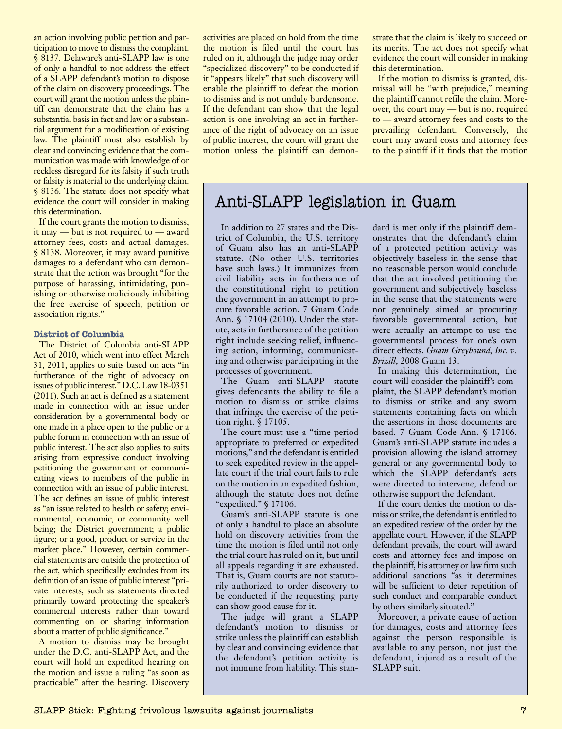an action involving public petition and participation to move to dismiss the complaint. § 8137. Delaware's anti-SLAPP law is one of only a handful to not address the effect of a SLAPP defendant's motion to dispose of the claim on discovery proceedings. The court will grant the motion unless the plaintiff can demonstrate that the claim has a substantial basis in fact and law or a substantial argument for a modification of existing law. The plaintiff must also establish by clear and convincing evidence that the communication was made with knowledge of or reckless disregard for its falsity if such truth or falsity is material to the underlying claim. § 8136. The statute does not specify what evidence the court will consider in making this determination.

If the court grants the motion to dismiss, it may — but is not required to — award attorney fees, costs and actual damages. § 8138. Moreover, it may award punitive damages to a defendant who can demonstrate that the action was brought "for the purpose of harassing, intimidating, punishing or otherwise maliciously inhibiting the free exercise of speech, petition or association rights."

#### **District of Columbia**

The District of Columbia anti-SLAPP Act of 2010, which went into effect March 31, 2011, applies to suits based on acts "in furtherance of the right of advocacy on issues of public interest." D.C. Law 18-0351 (2011). Such an act is defined as a statement made in connection with an issue under consideration by a governmental body or one made in a place open to the public or a public forum in connection with an issue of public interest. The act also applies to suits arising from expressive conduct involving petitioning the government or communicating views to members of the public in connection with an issue of public interest. The act defines an issue of public interest as "an issue related to health or safety; environmental, economic, or community well being; the District government; a public figure; or a good, product or service in the market place." However, certain commercial statements are outside the protection of the act, which specifically excludes from its definition of an issue of public interest "private interests, such as statements directed primarily toward protecting the speaker's commercial interests rather than toward commenting on or sharing information about a matter of public significance."

A motion to dismiss may be brought under the D.C. anti-SLAPP Act, and the court will hold an expedited hearing on the motion and issue a ruling "as soon as practicable" after the hearing. Discovery

activities are placed on hold from the time the motion is filed until the court has ruled on it, although the judge may order "specialized discovery" to be conducted if it "appears likely" that such discovery will enable the plaintiff to defeat the motion to dismiss and is not unduly burdensome. If the defendant can show that the legal action is one involving an act in furtherance of the right of advocacy on an issue of public interest, the court will grant the motion unless the plaintiff can demonstrate that the claim is likely to succeed on its merits. The act does not specify what evidence the court will consider in making this determination.

If the motion to dismiss is granted, dismissal will be "with prejudice," meaning the plaintiff cannot refile the claim. Moreover, the court may — but is not required to — award attorney fees and costs to the prevailing defendant. Conversely, the court may award costs and attorney fees to the plaintiff if it finds that the motion

# Anti-SLAPP legislation in Guam

In addition to 27 states and the District of Columbia, the U.S. territory of Guam also has an anti-SLAPP statute. (No other U.S. territories have such laws.) It immunizes from civil liability acts in furtherance of the constitutional right to petition the government in an attempt to procure favorable action. 7 Guam Code Ann. § 17104 (2010). Under the statute, acts in furtherance of the petition right include seeking relief, influencing action, informing, communicating and otherwise participating in the processes of government.

The Guam anti-SLAPP statute gives defendants the ability to file a motion to dismiss or strike claims that infringe the exercise of the petition right. § 17105.

The court must use a "time period appropriate to preferred or expedited motions," and the defendant is entitled to seek expedited review in the appellate court if the trial court fails to rule on the motion in an expedited fashion, although the statute does not define "expedited." § 17106.

Guam's anti-SLAPP statute is one of only a handful to place an absolute hold on discovery activities from the time the motion is filed until not only the trial court has ruled on it, but until all appeals regarding it are exhausted. That is, Guam courts are not statutorily authorized to order discovery to be conducted if the requesting party can show good cause for it.

The judge will grant a SLAPP defendant's motion to dismiss or strike unless the plaintiff can establish by clear and convincing evidence that the defendant's petition activity is not immune from liability. This standard is met only if the plaintiff demonstrates that the defendant's claim of a protected petition activity was objectively baseless in the sense that no reasonable person would conclude that the act involved petitioning the government and subjectively baseless in the sense that the statements were not genuinely aimed at procuring favorable governmental action, but were actually an attempt to use the governmental process for one's own direct effects. *Guam Greyhound, Inc. v. Brizill*, 2008 Guam 13.

In making this determination, the court will consider the plaintiff's complaint, the SLAPP defendant's motion to dismiss or strike and any sworn statements containing facts on which the assertions in those documents are based. 7 Guam Code Ann. § 17106. Guam's anti-SLAPP statute includes a provision allowing the island attorney general or any governmental body to which the SLAPP defendant's acts were directed to intervene, defend or otherwise support the defendant.

If the court denies the motion to dismiss or strike, the defendant is entitled to an expedited review of the order by the appellate court. However, if the SLAPP defendant prevails, the court will award costs and attorney fees and impose on the plaintiff, his attorney or law firm such additional sanctions "as it determines will be sufficient to deter repetition of such conduct and comparable conduct by others similarly situated."

Moreover, a private cause of action for damages, costs and attorney fees against the person responsible is available to any person, not just the defendant, injured as a result of the SLAPP suit.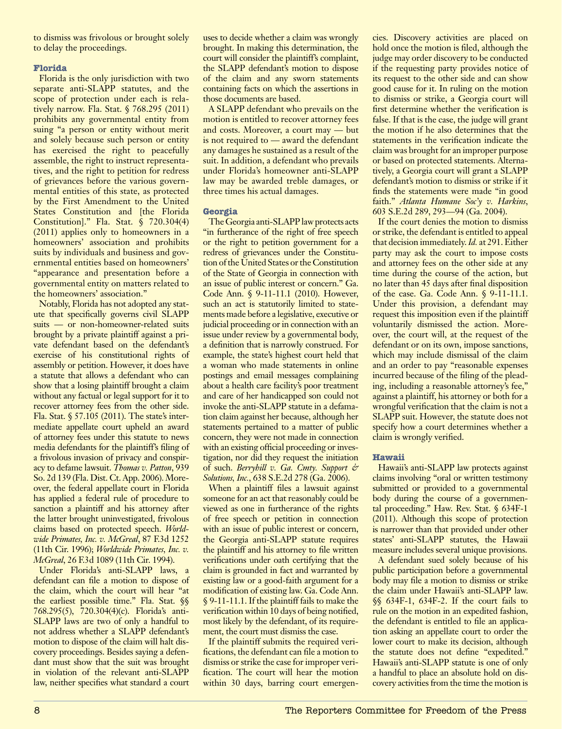to dismiss was frivolous or brought solely to delay the proceedings.

# **Florida**

Florida is the only jurisdiction with two separate anti-SLAPP statutes, and the scope of protection under each is relatively narrow. Fla. Stat. § 768.295 (2011) prohibits any governmental entity from suing "a person or entity without merit and solely because such person or entity has exercised the right to peacefully assemble, the right to instruct representatives, and the right to petition for redress of grievances before the various governmental entities of this state, as protected by the First Amendment to the United States Constitution and [the Florida Constitution]." Fla. Stat. § 720.304(4) (2011) applies only to homeowners in a homeowners' association and prohibits suits by individuals and business and governmental entities based on homeowners' "appearance and presentation before a governmental entity on matters related to the homeowners' association."

Notably, Florida has not adopted any statute that specifically governs civil SLAPP suits — or non-homeowner-related suits brought by a private plaintiff against a private defendant based on the defendant's exercise of his constitutional rights of assembly or petition. However, it does have a statute that allows a defendant who can show that a losing plaintiff brought a claim without any factual or legal support for it to recover attorney fees from the other side. Fla. Stat. § 57.105 (2011). The state's intermediate appellate court upheld an award of attorney fees under this statute to news media defendants for the plaintiff's filing of a frivolous invasion of privacy and conspiracy to defame lawsuit. *Thomas v. Patton*, 939 So. 2d 139 (Fla. Dist. Ct. App. 2006). Moreover, the federal appellate court in Florida has applied a federal rule of procedure to sanction a plaintiff and his attorney after the latter brought uninvestigated, frivolous claims based on protected speech. *Worldwide Primates, Inc. v. McGreal*, 87 F.3d 1252 (11th Cir. 1996); *Worldwide Primates, Inc. v. McGreal*, 26 F.3d 1089 (11th Cir. 1994).

Under Florida's anti-SLAPP laws, a defendant can file a motion to dispose of the claim, which the court will hear "at the earliest possible time." Fla. Stat. §§ 768.295(5), 720.304(4)(c). Florida's anti-SLAPP laws are two of only a handful to not address whether a SLAPP defendant's motion to dispose of the claim will halt discovery proceedings. Besides saying a defendant must show that the suit was brought in violation of the relevant anti-SLAPP law, neither specifies what standard a court uses to decide whether a claim was wrongly brought. In making this determination, the court will consider the plaintiff's complaint, the SLAPP defendant's motion to dispose of the claim and any sworn statements containing facts on which the assertions in those documents are based.

A SLAPP defendant who prevails on the motion is entitled to recover attorney fees and costs. Moreover, a court may — but is not required to — award the defendant any damages he sustained as a result of the suit. In addition, a defendant who prevails under Florida's homeowner anti-SLAPP law may be awarded treble damages, or three times his actual damages.

# **Georgia**

The Georgia anti-SLAPP law protects acts "in furtherance of the right of free speech or the right to petition government for a redress of grievances under the Constitution of the United States or the Constitution of the State of Georgia in connection with an issue of public interest or concern." Ga. Code Ann. § 9-11-11.1 (2010). However, such an act is statutorily limited to statements made before a legislative, executive or judicial proceeding or in connection with an issue under review by a governmental body, a definition that is narrowly construed. For example, the state's highest court held that a woman who made statements in online postings and email messages complaining about a health care facility's poor treatment and care of her handicapped son could not invoke the anti-SLAPP statute in a defamation claim against her because, although her statements pertained to a matter of public concern, they were not made in connection with an existing official proceeding or investigation, nor did they request the initiation of such. *Berryhill v. Ga. Cmty. Support & Solutions, Inc.*, 638 S.E.2d 278 (Ga. 2006).

When a plaintiff files a lawsuit against someone for an act that reasonably could be viewed as one in furtherance of the rights of free speech or petition in connection with an issue of public interest or concern, the Georgia anti-SLAPP statute requires the plaintiff and his attorney to file written verifications under oath certifying that the claim is grounded in fact and warranted by existing law or a good-faith argument for a modification of existing law. Ga. Code Ann. § 9-11-11.1. If the plaintiff fails to make the verification within 10 days of being notified, most likely by the defendant, of its requirement, the court must dismiss the case.

If the plaintiff submits the required verifications, the defendant can file a motion to dismiss or strike the case for improper verification. The court will hear the motion within 30 days, barring court emergencies. Discovery activities are placed on hold once the motion is filed, although the judge may order discovery to be conducted if the requesting party provides notice of its request to the other side and can show good cause for it. In ruling on the motion to dismiss or strike, a Georgia court will first determine whether the verification is false. If that is the case, the judge will grant the motion if he also determines that the statements in the verification indicate the claim was brought for an improper purpose or based on protected statements. Alternatively, a Georgia court will grant a SLAPP defendant's motion to dismiss or strike if it finds the statements were made "in good faith." *Atlanta Humane Soc'y v. Harkins*, 603 S.E.2d 289, 293—94 (Ga. 2004).

If the court denies the motion to dismiss or strike, the defendant is entitled to appeal that decision immediately. *Id.* at 291. Either party may ask the court to impose costs and attorney fees on the other side at any time during the course of the action, but no later than 45 days after final disposition of the case. Ga. Code Ann. § 9-11-11.1. Under this provision, a defendant may request this imposition even if the plaintiff voluntarily dismissed the action. Moreover, the court will, at the request of the defendant or on its own, impose sanctions, which may include dismissal of the claim and an order to pay "reasonable expenses incurred because of the filing of the pleading, including a reasonable attorney's fee," against a plaintiff, his attorney or both for a wrongful verification that the claim is not a SLAPP suit. However, the statute does not specify how a court determines whether a claim is wrongly verified.

# **Hawaii**

Hawaii's anti-SLAPP law protects against claims involving "oral or written testimony submitted or provided to a governmental body during the course of a governmental proceeding." Haw. Rev. Stat. § 634F-1 (2011). Although this scope of protection is narrower than that provided under other states' anti-SLAPP statutes, the Hawaii measure includes several unique provisions.

A defendant sued solely because of his public participation before a governmental body may file a motion to dismiss or strike the claim under Hawaii's anti-SLAPP law. §§ 634F-1, 634F-2. If the court fails to rule on the motion in an expedited fashion, the defendant is entitled to file an application asking an appellate court to order the lower court to make its decision, although the statute does not define "expedited." Hawaii's anti-SLAPP statute is one of only a handful to place an absolute hold on discovery activities from the time the motion is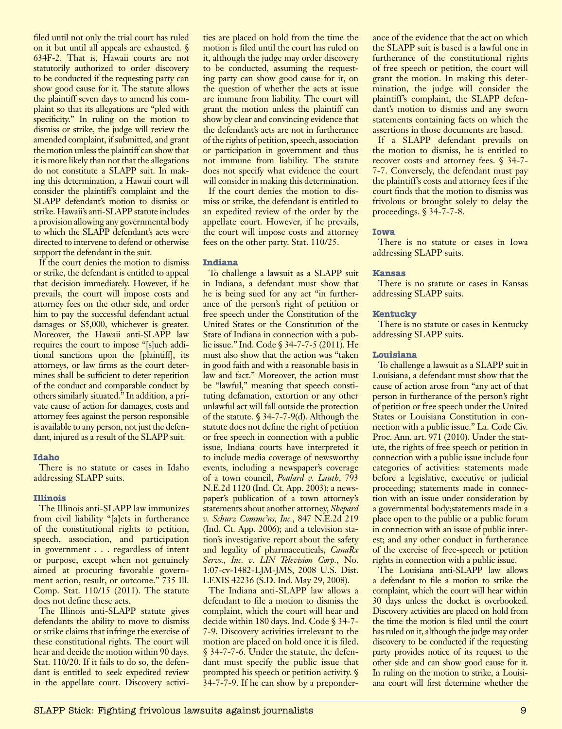filed until not only the trial court has ruled on it but until all appeals are exhausted. § 634F-2. That is, Hawaii courts are not statutorily authorized to order discovery to be conducted if the requesting party can show good cause for it. The statute allows the plaintiff seven days to amend his complaint so that its allegations are "pled with specificity." In ruling on the motion to dismiss or strike, the judge will review the amended complaint, if submitted, and grant the motion unless the plaintiff can show that it is more likely than not that the allegations do not constitute a SLAPP suit. In making this determination, a Hawaii court will consider the plaintiff's complaint and the SLAPP defendant's motion to dismiss or strike. Hawaii's anti-SLAPP statute includes a provision allowing any governmental body to which the SLAPP defendant's acts were directed to intervene to defend or otherwise support the defendant in the suit.

If the court denies the motion to dismiss or strike, the defendant is entitled to appeal that decision immediately. However, if he prevails, the court will impose costs and attorney fees on the other side, and order him to pay the successful defendant actual damages or \$5,000, whichever is greater. Moreover, the Hawaii anti-SLAPP law requires the court to impose "[s]uch additional sanctions upon the [plaintiff], its attorneys, or law firms as the court determines shall be sufficient to deter repetition of the conduct and comparable conduct by others similarly situated." In addition, a private cause of action for damages, costs and attorney fees against the person responsible is available to any person, not just the defendant, injured as a result of the SLAPP suit.

#### **Idaho**

There is no statute or cases in Idaho addressing SLAPP suits.

#### **Illinois**

The Illinois anti-SLAPP law immunizes from civil liability "[a]cts in furtherance of the constitutional rights to petition, speech, association, and participation in government . . . regardless of intent or purpose, except when not genuinely aimed at procuring favorable government action, result, or outcome." 735 Ill. Comp. Stat. 110/15 (2011). The statute does not define these acts.

The Illinois anti-SLAPP statute gives defendants the ability to move to dismiss or strike claims that infringe the exercise of these constitutional rights. The court will hear and decide the motion within 90 days. Stat. 110/20. If it fails to do so, the defendant is entitled to seek expedited review in the appellate court. Discovery activi-

ties are placed on hold from the time the motion is filed until the court has ruled on it, although the judge may order discovery to be conducted, assuming the requesting party can show good cause for it, on the question of whether the acts at issue are immune from liability. The court will grant the motion unless the plaintiff can show by clear and convincing evidence that the defendant's acts are not in furtherance of the rights of petition, speech, association or participation in government and thus not immune from liability. The statute does not specify what evidence the court will consider in making this determination.

If the court denies the motion to dismiss or strike, the defendant is entitled to an expedited review of the order by the appellate court. However, if he prevails, the court will impose costs and attorney fees on the other party. Stat. 110/25.

#### **Indiana**

To challenge a lawsuit as a SLAPP suit in Indiana, a defendant must show that he is being sued for any act "in furtherance of the person's right of petition or free speech under the Constitution of the United States or the Constitution of the State of Indiana in connection with a public issue." Ind. Code § 34-7-7-5 (2011). He must also show that the action was "taken in good faith and with a reasonable basis in law and fact." Moreover, the action must be "lawful," meaning that speech constituting defamation, extortion or any other unlawful act will fall outside the protection of the statute. § 34-7-7-9(d). Although the statute does not define the right of petition or free speech in connection with a public issue, Indiana courts have interpreted it to include media coverage of newsworthy events, including a newspaper's coverage of a town council, *Poulard v. Lauth*, 793 N.E.2d 1120 (Ind. Ct. App. 2003); a newspaper's publication of a town attorney's statements about another attorney, *Shepard v. Schurz Commc'ns, Inc.*, 847 N.E.2d 219 (Ind. Ct. App. 2006); and a television station's investigative report about the safety and legality of pharmaceuticals, *CanaRx Servs., Inc. v. LIN Television Corp.*, No. 1:07-cv-1482-LJM-JMS, 2008 U.S. Dist. LEXIS 42236 (S.D. Ind. May 29, 2008).

The Indiana anti-SLAPP law allows a defendant to file a motion to dismiss the complaint, which the court will hear and decide within 180 days. Ind. Code § 34-7- 7-9. Discovery activities irrelevant to the motion are placed on hold once it is filed. § 34-7-7-6. Under the statute, the defendant must specify the public issue that prompted his speech or petition activity. § 34-7-7-9. If he can show by a preponderance of the evidence that the act on which the SLAPP suit is based is a lawful one in furtherance of the constitutional rights of free speech or petition, the court will grant the motion. In making this determination, the judge will consider the plaintiff's complaint, the SLAPP defendant's motion to dismiss and any sworn statements containing facts on which the assertions in those documents are based.

If a SLAPP defendant prevails on the motion to dismiss, he is entitled to recover costs and attorney fees. § 34-7- 7-7. Conversely, the defendant must pay the plaintiff's costs and attorney fees if the court finds that the motion to dismiss was frivolous or brought solely to delay the proceedings. § 34-7-7-8.

#### **Iowa**

There is no statute or cases in Iowa addressing SLAPP suits.

#### **Kansas**

There is no statute or cases in Kansas addressing SLAPP suits.

#### **Kentucky**

There is no statute or cases in Kentucky addressing SLAPP suits.

#### **Louisiana**

To challenge a lawsuit as a SLAPP suit in Louisiana, a defendant must show that the cause of action arose from "any act of that person in furtherance of the person's right of petition or free speech under the United States or Louisiana Constitution in connection with a public issue." La. Code Civ. Proc. Ann. art. 971 (2010). Under the statute, the rights of free speech or petition in connection with a public issue include four categories of activities: statements made before a legislative, executive or judicial proceeding; statements made in connection with an issue under consideration by a governmental body;statements made in a place open to the public or a public forum in connection with an issue of public interest; and any other conduct in furtherance of the exercise of free-speech or petition rights in connection with a public issue.

The Louisiana anti-SLAPP law allows a defendant to file a motion to strike the complaint, which the court will hear within 30 days unless the docket is overbooked. Discovery activities are placed on hold from the time the motion is filed until the court has ruled on it, although the judge may order discovery to be conducted if the requesting party provides notice of its request to the other side and can show good cause for it. In ruling on the motion to strike, a Louisiana court will first determine whether the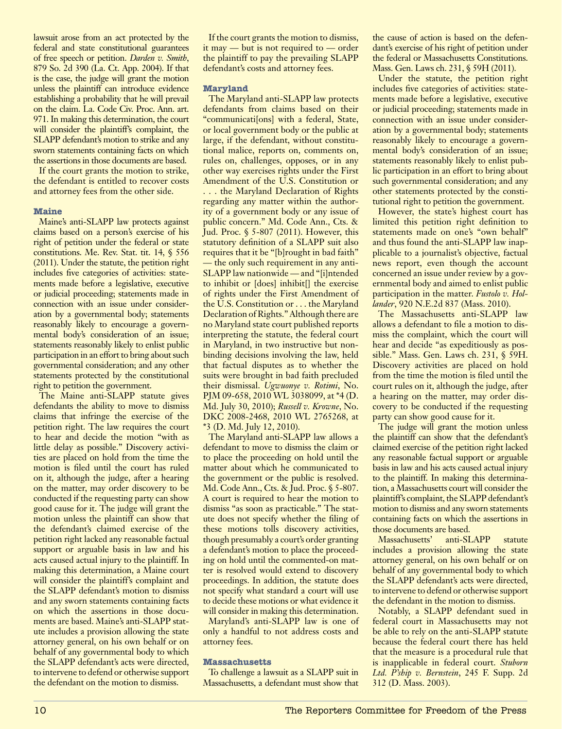lawsuit arose from an act protected by the federal and state constitutional guarantees of free speech or petition. *Darden v. Smith*, 879 So. 2d 390 (La. Ct. App. 2004). If that is the case, the judge will grant the motion unless the plaintiff can introduce evidence establishing a probability that he will prevail on the claim. La. Code Civ. Proc. Ann. art. 971. In making this determination, the court will consider the plaintiff's complaint, the SLAPP defendant's motion to strike and any sworn statements containing facts on which the assertions in those documents are based.

If the court grants the motion to strike, the defendant is entitled to recover costs and attorney fees from the other side.

#### **Maine**

Maine's anti-SLAPP law protects against claims based on a person's exercise of his right of petition under the federal or state constitutions. Me. Rev. Stat. tit. 14, § 556 (2011). Under the statute, the petition right includes five categories of activities: statements made before a legislative, executive or judicial proceeding; statements made in connection with an issue under consideration by a governmental body; statements reasonably likely to encourage a governmental body's consideration of an issue; statements reasonably likely to enlist public participation in an effort to bring about such governmental consideration; and any other statements protected by the constitutional right to petition the government.

The Maine anti-SLAPP statute gives defendants the ability to move to dismiss claims that infringe the exercise of the petition right. The law requires the court to hear and decide the motion "with as little delay as possible." Discovery activities are placed on hold from the time the motion is filed until the court has ruled on it, although the judge, after a hearing on the matter, may order discovery to be conducted if the requesting party can show good cause for it. The judge will grant the motion unless the plaintiff can show that the defendant's claimed exercise of the petition right lacked any reasonable factual support or arguable basis in law and his acts caused actual injury to the plaintiff. In making this determination, a Maine court will consider the plaintiff's complaint and the SLAPP defendant's motion to dismiss and any sworn statements containing facts on which the assertions in those documents are based. Maine's anti-SLAPP statute includes a provision allowing the state attorney general, on his own behalf or on behalf of any governmental body to which the SLAPP defendant's acts were directed, to intervene to defend or otherwise support the defendant on the motion to dismiss.

If the court grants the motion to dismiss, it may — but is not required to — order the plaintiff to pay the prevailing SLAPP defendant's costs and attorney fees.

#### **Maryland**

The Maryland anti-SLAPP law protects defendants from claims based on their "communicati[ons] with a federal, State, or local government body or the public at large, if the defendant, without constitutional malice, reports on, comments on, rules on, challenges, opposes, or in any other way exercises rights under the First Amendment of the U.S. Constitution or . . . the Maryland Declaration of Rights regarding any matter within the authority of a government body or any issue of public concern." Md. Code Ann., Cts. & Jud. Proc. § 5-807 (2011). However, this statutory definition of a SLAPP suit also requires that it be "[b]rought in bad faith" — the only such requirement in any anti-SLAPP law nationwide — and "[i]ntended to inhibit or [does] inhibit[] the exercise of rights under the First Amendment of the U.S. Constitution or . . . the Maryland Declaration of Rights." Although there are no Maryland state court published reports interpreting the statute, the federal court in Maryland, in two instructive but nonbinding decisions involving the law, held that factual disputes as to whether the suits were brought in bad faith precluded their dismissal. *Ugwuonye v. Rotimi*, No. PJM 09-658, 2010 WL 3038099, at \*4 (D. Md. July 30, 2010); *Russell v. Krowne*, No. DKC 2008-2468, 2010 WL 2765268, at \*3 (D. Md. July 12, 2010).

The Maryland anti-SLAPP law allows a defendant to move to dismiss the claim or to place the proceeding on hold until the matter about which he communicated to the government or the public is resolved. Md. Code Ann., Cts. & Jud. Proc. § 5-807. A court is required to hear the motion to dismiss "as soon as practicable." The statute does not specify whether the filing of these motions tolls discovery activities, though presumably a court's order granting a defendant's motion to place the proceeding on hold until the commented-on matter is resolved would extend to discovery proceedings. In addition, the statute does not specify what standard a court will use to decide these motions or what evidence it will consider in making this determination.

Maryland's anti-SLAPP law is one of only a handful to not address costs and attorney fees.

#### **Massachusetts**

To challenge a lawsuit as a SLAPP suit in Massachusetts, a defendant must show that the cause of action is based on the defendant's exercise of his right of petition under the federal or Massachusetts Constitutions. Mass. Gen. Laws ch. 231, § 59H (2011).

Under the statute, the petition right includes five categories of activities: statements made before a legislative, executive or judicial proceeding; statements made in connection with an issue under consideration by a governmental body; statements reasonably likely to encourage a governmental body's consideration of an issue; statements reasonably likely to enlist public participation in an effort to bring about such governmental consideration; and any other statements protected by the constitutional right to petition the government.

However, the state's highest court has limited this petition right definition to statements made on one's "own behalf" and thus found the anti-SLAPP law inapplicable to a journalist's objective, factual news report, even though the account concerned an issue under review by a governmental body and aimed to enlist public participation in the matter. *Fustolo v. Hollander*, 920 N.E.2d 837 (Mass. 2010).

The Massachusetts anti-SLAPP law allows a defendant to file a motion to dismiss the complaint, which the court will hear and decide "as expeditiously as possible." Mass. Gen. Laws ch. 231, § 59H. Discovery activities are placed on hold from the time the motion is filed until the court rules on it, although the judge, after a hearing on the matter, may order discovery to be conducted if the requesting party can show good cause for it.

The judge will grant the motion unless the plaintiff can show that the defendant's claimed exercise of the petition right lacked any reasonable factual support or arguable basis in law and his acts caused actual injury to the plaintiff. In making this determination, a Massachusetts court will consider the plaintiff's complaint, the SLAPP defendant's motion to dismiss and any sworn statements containing facts on which the assertions in those documents are based.

Massachusetts' anti-SLAPP statute includes a provision allowing the state attorney general, on his own behalf or on behalf of any governmental body to which the SLAPP defendant's acts were directed, to intervene to defend or otherwise support the defendant in the motion to dismiss.

Notably, a SLAPP defendant sued in federal court in Massachusetts may not be able to rely on the anti-SLAPP statute because the federal court there has held that the measure is a procedural rule that is inapplicable in federal court. *Stuborn Ltd. P'ship v. Bernstein*, 245 F. Supp. 2d 312 (D. Mass. 2003).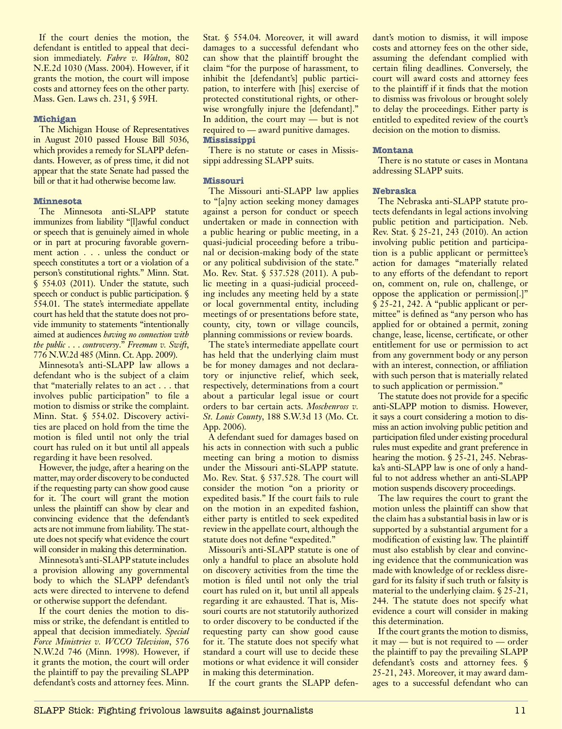If the court denies the motion, the defendant is entitled to appeal that decision immediately. *Fabre v. Walton*, 802 N.E.2d 1030 (Mass. 2004). However, if it grants the motion, the court will impose costs and attorney fees on the other party. Mass. Gen. Laws ch. 231, § 59H.

#### **Michigan**

The Michigan House of Representatives in August 2010 passed House Bill 5036, which provides a remedy for SLAPP defendants. However, as of press time, it did not appear that the state Senate had passed the bill or that it had otherwise become law.

#### **Minnesota**

The Minnesota anti-SLAPP statute immunizes from liability "[l]awful conduct or speech that is genuinely aimed in whole or in part at procuring favorable government action . . . unless the conduct or speech constitutes a tort or a violation of a person's constitutional rights." Minn. Stat. § 554.03 (2011). Under the statute, such speech or conduct is public participation.  $\S$ 554.01. The state's intermediate appellate court has held that the statute does not provide immunity to statements "intentionally aimed at audiences *having no connection with the public* . . . *controversy*." *Freeman v. Swift*, 776 N.W.2d 485 (Minn. Ct. App. 2009).

Minnesota's anti-SLAPP law allows a defendant who is the subject of a claim that "materially relates to an act . . . that involves public participation" to file a motion to dismiss or strike the complaint. Minn. Stat. § 554.02. Discovery activities are placed on hold from the time the motion is filed until not only the trial court has ruled on it but until all appeals regarding it have been resolved.

However, the judge, after a hearing on the matter, may order discovery to be conducted if the requesting party can show good cause for it. The court will grant the motion unless the plaintiff can show by clear and convincing evidence that the defendant's acts are not immune from liability. The statute does not specify what evidence the court will consider in making this determination.

Minnesota's anti-SLAPP statute includes a provision allowing any governmental body to which the SLAPP defendant's acts were directed to intervene to defend or otherwise support the defendant.

If the court denies the motion to dismiss or strike, the defendant is entitled to appeal that decision immediately. *Special Force Ministries v. WCCO Television*, 576 N.W.2d 746 (Minn. 1998). However, if it grants the motion, the court will order the plaintiff to pay the prevailing SLAPP defendant's costs and attorney fees. Minn. Stat. § 554.04. Moreover, it will award damages to a successful defendant who can show that the plaintiff brought the claim "for the purpose of harassment, to inhibit the [defendant's] public participation, to interfere with [his] exercise of protected constitutional rights, or otherwise wrongfully injure the [defendant]." In addition, the court may — but is not required to — award punitive damages. **Mississippi** 

There is no statute or cases in Mississippi addressing SLAPP suits.

#### **Missouri**

The Missouri anti-SLAPP law applies to "[a]ny action seeking money damages against a person for conduct or speech undertaken or made in connection with a public hearing or public meeting, in a quasi-judicial proceeding before a tribunal or decision-making body of the state or any political subdivision of the state." Mo. Rev. Stat. § 537.528 (2011). A public meeting in a quasi-judicial proceeding includes any meeting held by a state or local governmental entity, including meetings of or presentations before state, county, city, town or village councils, planning commissions or review boards.

The state's intermediate appellate court has held that the underlying claim must be for money damages and not declaratory or injunctive relief, which seek, respectively, determinations from a court about a particular legal issue or court orders to bar certain acts. *Moschenross v. St. Louis County*, 188 S.W.3d 13 (Mo. Ct. App. 2006).

A defendant sued for damages based on his acts in connection with such a public meeting can bring a motion to dismiss under the Missouri anti-SLAPP statute. Mo. Rev. Stat. § 537.528. The court will consider the motion "on a priority or expedited basis." If the court fails to rule on the motion in an expedited fashion, either party is entitled to seek expedited review in the appellate court, although the statute does not define "expedited."

Missouri's anti-SLAPP statute is one of only a handful to place an absolute hold on discovery activities from the time the motion is filed until not only the trial court has ruled on it, but until all appeals regarding it are exhausted. That is, Missouri courts are not statutorily authorized to order discovery to be conducted if the requesting party can show good cause for it. The statute does not specify what standard a court will use to decide these motions or what evidence it will consider in making this determination.

If the court grants the SLAPP defen-

dant's motion to dismiss, it will impose costs and attorney fees on the other side, assuming the defendant complied with certain filing deadlines. Conversely, the court will award costs and attorney fees to the plaintiff if it finds that the motion to dismiss was frivolous or brought solely to delay the proceedings. Either party is entitled to expedited review of the court's decision on the motion to dismiss.

#### **Montana**

There is no statute or cases in Montana addressing SLAPP suits.

#### **Nebraska**

The Nebraska anti-SLAPP statute protects defendants in legal actions involving public petition and participation. Neb. Rev. Stat. § 25-21, 243 (2010). An action involving public petition and participation is a public applicant or permittee's action for damages "materially related to any efforts of the defendant to report on, comment on, rule on, challenge, or oppose the application or permission[.]"  $\sqrt{\frac{25-21}{25-21}}$ , 242. A "public applicant or permittee" is defined as "any person who has applied for or obtained a permit, zoning change, lease, license, certificate, or other entitlement for use or permission to act from any government body or any person with an interest, connection, or affiliation with such person that is materially related to such application or permission."

The statute does not provide for a specific anti-SLAPP motion to dismiss. However, it says a court considering a motion to dismiss an action involving public petition and participation filed under existing procedural rules must expedite and grant preference in hearing the motion.  $\S 2\overline{5}$ -21, 245. Nebraska's anti-SLAPP law is one of only a handful to not address whether an anti-SLAPP motion suspends discovery proceedings.

The law requires the court to grant the motion unless the plaintiff can show that the claim has a substantial basis in law or is supported by a substantial argument for a modification of existing law. The plaintiff must also establish by clear and convincing evidence that the communication was made with knowledge of or reckless disregard for its falsity if such truth or falsity is material to the underlying claim. § 25-21, 244. The statute does not specify what evidence a court will consider in making this determination.

If the court grants the motion to dismiss, it may — but is not required to — order the plaintiff to pay the prevailing SLAPP defendant's costs and attorney fees. § 25-21, 243. Moreover, it may award damages to a successful defendant who can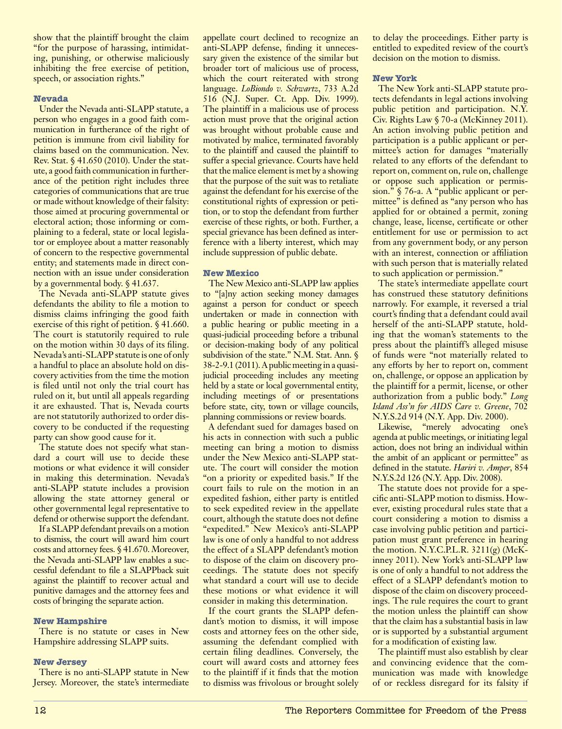show that the plaintiff brought the claim "for the purpose of harassing, intimidating, punishing, or otherwise maliciously inhibiting the free exercise of petition, speech, or association rights."

#### **Nevada**

Under the Nevada anti-SLAPP statute, a person who engages in a good faith communication in furtherance of the right of petition is immune from civil liability for claims based on the communication. Nev. Rev. Stat. § 41.650 (2010). Under the statute, a good faith communication in furtherance of the petition right includes three categories of communications that are true or made without knowledge of their falsity: those aimed at procuring governmental or electoral action; those informing or complaining to a federal, state or local legislator or employee about a matter reasonably of concern to the respective governmental entity; and statements made in direct connection with an issue under consideration by a governmental body. § 41.637.

The Nevada anti-SLAPP statute gives defendants the ability to file a motion to dismiss claims infringing the good faith exercise of this right of petition. § 41.660. The court is statutorily required to rule on the motion within 30 days of its filing. Nevada's anti-SLAPP statute is one of only a handful to place an absolute hold on discovery activities from the time the motion is filed until not only the trial court has ruled on it, but until all appeals regarding it are exhausted. That is, Nevada courts are not statutorily authorized to order discovery to be conducted if the requesting party can show good cause for it.

The statute does not specify what standard a court will use to decide these motions or what evidence it will consider in making this determination. Nevada's anti-SLAPP statute includes a provision allowing the state attorney general or other governmental legal representative to defend or otherwise support the defendant.

If a SLAPP defendant prevails on a motion to dismiss, the court will award him court costs and attorney fees. § 41.670. Moreover, the Nevada anti-SLAPP law enables a successful defendant to file a SLAPPback suit against the plaintiff to recover actual and punitive damages and the attorney fees and costs of bringing the separate action.

#### **New Hampshire**

There is no statute or cases in New Hampshire addressing SLAPP suits.

#### **New Jersey**

There is no anti-SLAPP statute in New Jersey. Moreover, the state's intermediate appellate court declined to recognize an anti-SLAPP defense, finding it unnecessary given the existence of the similar but broader tort of malicious use of process, which the court reiterated with strong language. *LoBiondo v. Schwartz*, 733 A.2d 516 (N.J. Super. Ct. App. Div. 1999). The plaintiff in a malicious use of process action must prove that the original action was brought without probable cause and motivated by malice, terminated favorably to the plaintiff and caused the plaintiff to suffer a special grievance. Courts have held that the malice element is met by a showing that the purpose of the suit was to retaliate against the defendant for his exercise of the constitutional rights of expression or petition, or to stop the defendant from further exercise of these rights, or both. Further, a special grievance has been defined as interference with a liberty interest, which may include suppression of public debate.

# **New Mexico**

The New Mexico anti-SLAPP law applies to "[a]ny action seeking money damages against a person for conduct or speech undertaken or made in connection with a public hearing or public meeting in a quasi-judicial proceeding before a tribunal or decision-making body of any political subdivision of the state." N.M. Stat. Ann. § 38-2-9.1 (2011). A public meeting in a quasijudicial proceeding includes any meeting held by a state or local governmental entity, including meetings of or presentations before state, city, town or village councils, planning commissions or review boards.

A defendant sued for damages based on his acts in connection with such a public meeting can bring a motion to dismiss under the New Mexico anti-SLAPP statute. The court will consider the motion "on a priority or expedited basis." If the court fails to rule on the motion in an expedited fashion, either party is entitled to seek expedited review in the appellate court, although the statute does not define "expedited." New Mexico's anti-SLAPP law is one of only a handful to not address the effect of a SLAPP defendant's motion to dispose of the claim on discovery proceedings. The statute does not specify what standard a court will use to decide these motions or what evidence it will consider in making this determination.

If the court grants the SLAPP defendant's motion to dismiss, it will impose costs and attorney fees on the other side, assuming the defendant complied with certain filing deadlines. Conversely, the court will award costs and attorney fees to the plaintiff if it finds that the motion to dismiss was frivolous or brought solely to delay the proceedings. Either party is entitled to expedited review of the court's decision on the motion to dismiss.

#### **New York**

The New York anti-SLAPP statute protects defendants in legal actions involving public petition and participation. N.Y. Civ. Rights Law § 70-a (McKinney 2011). An action involving public petition and participation is a public applicant or permittee's action for damages "materially related to any efforts of the defendant to report on, comment on, rule on, challenge or oppose such application or permission." § 76-a. A "public applicant or permittee" is defined as "any person who has applied for or obtained a permit, zoning change, lease, license, certificate or other entitlement for use or permission to act from any government body, or any person with an interest, connection or affiliation with such person that is materially related to such application or permission."

The state's intermediate appellate court has construed these statutory definitions narrowly. For example, it reversed a trial court's finding that a defendant could avail herself of the anti-SLAPP statute, holding that the woman's statements to the press about the plaintiff's alleged misuse of funds were "not materially related to any efforts by her to report on, comment on, challenge, or oppose an application by the plaintiff for a permit, license, or other authorization from a public body." *Long Island Ass'n for AIDS Care v. Greene*, 702 N.Y.S.2d 914 (N.Y. App. Div. 2000).

Likewise, "merely advocating one's agenda at public meetings, or initiating legal action, does not bring an individual within the ambit of an applicant or permittee" as defined in the statute. *Hariri v. Amper*, 854 N.Y.S.2d 126 (N.Y. App. Div. 2008).

The statute does not provide for a specific anti-SLAPP motion to dismiss. However, existing procedural rules state that a court considering a motion to dismiss a case involving public petition and participation must grant preference in hearing the motion. N.Y.C.P.L.R. 3211(g) (McKinney 2011). New York's anti-SLAPP law is one of only a handful to not address the effect of a SLAPP defendant's motion to dispose of the claim on discovery proceedings. The rule requires the court to grant the motion unless the plaintiff can show that the claim has a substantial basis in law or is supported by a substantial argument for a modification of existing law.

The plaintiff must also establish by clear and convincing evidence that the communication was made with knowledge of or reckless disregard for its falsity if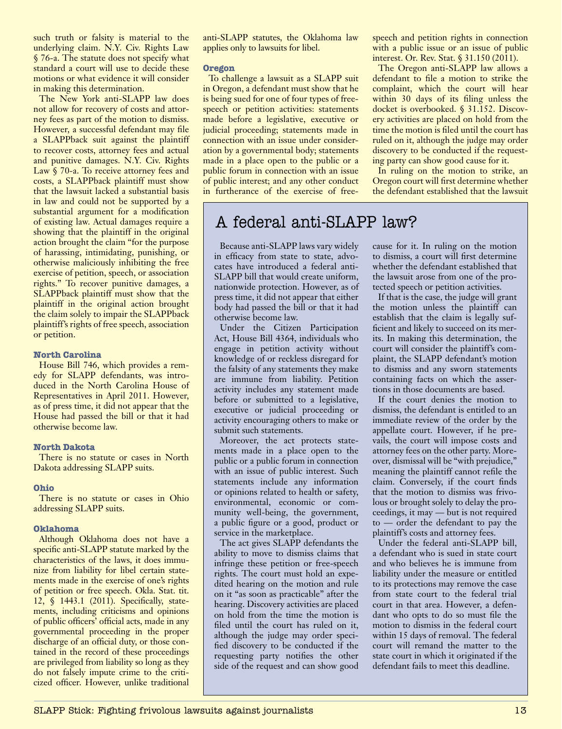such truth or falsity is material to the underlying claim. N.Y. Civ. Rights Law § 76-a. The statute does not specify what standard a court will use to decide these motions or what evidence it will consider in making this determination.

The New York anti-SLAPP law does not allow for recovery of costs and attorney fees as part of the motion to dismiss. However, a successful defendant may file a SLAPPback suit against the plaintiff to recover costs, attorney fees and actual and punitive damages. N.Y. Civ. Rights Law § 70-a. To receive attorney fees and costs, a SLAPPback plaintiff must show that the lawsuit lacked a substantial basis in law and could not be supported by a substantial argument for a modification of existing law. Actual damages require a showing that the plaintiff in the original action brought the claim "for the purpose of harassing, intimidating, punishing, or otherwise maliciously inhibiting the free exercise of petition, speech, or association rights." To recover punitive damages, a SLAPPback plaintiff must show that the plaintiff in the original action brought the claim solely to impair the SLAPPback plaintiff's rights of free speech, association or petition.

#### **North Carolina**

House Bill 746, which provides a remedy for SLAPP defendants, was introduced in the North Carolina House of Representatives in April 2011. However, as of press time, it did not appear that the House had passed the bill or that it had otherwise become law.

#### **North Dakota**

There is no statute or cases in North Dakota addressing SLAPP suits.

#### **Ohio**

There is no statute or cases in Ohio addressing SLAPP suits.

#### **Oklahoma**

Although Oklahoma does not have a specific anti-SLAPP statute marked by the characteristics of the laws, it does immunize from liability for libel certain statements made in the exercise of one's rights of petition or free speech. Okla. Stat. tit. 12, § 1443.1 (2011). Specifically, statements, including criticisms and opinions of public officers' official acts, made in any governmental proceeding in the proper discharge of an official duty, or those contained in the record of these proceedings are privileged from liability so long as they do not falsely impute crime to the criticized officer. However, unlike traditional anti-SLAPP statutes, the Oklahoma law applies only to lawsuits for libel.

#### **Oregon**

To challenge a lawsuit as a SLAPP suit in Oregon, a defendant must show that he is being sued for one of four types of freespeech or petition activities: statements made before a legislative, executive or judicial proceeding; statements made in connection with an issue under consideration by a governmental body; statements made in a place open to the public or a public forum in connection with an issue of public interest; and any other conduct in furtherance of the exercise of freespeech and petition rights in connection with a public issue or an issue of public interest. Or. Rev. Stat. § 31.150 (2011).

The Oregon anti-SLAPP law allows a defendant to file a motion to strike the complaint, which the court will hear within 30 days of its filing unless the docket is overbooked. § 31.152. Discovery activities are placed on hold from the time the motion is filed until the court has ruled on it, although the judge may order discovery to be conducted if the requesting party can show good cause for it.

In ruling on the motion to strike, an Oregon court will first determine whether the defendant established that the lawsuit

# A federal anti-SLAPP law?

Because anti-SLAPP laws vary widely in efficacy from state to state, advocates have introduced a federal anti-SLAPP bill that would create uniform, nationwide protection. However, as of press time, it did not appear that either body had passed the bill or that it had otherwise become law.

Under the Citizen Participation Act, House Bill 4364, individuals who engage in petition activity without knowledge of or reckless disregard for the falsity of any statements they make are immune from liability. Petition activity includes any statement made before or submitted to a legislative, executive or judicial proceeding or activity encouraging others to make or submit such statements.

Moreover, the act protects statements made in a place open to the public or a public forum in connection with an issue of public interest. Such statements include any information or opinions related to health or safety, environmental, economic or community well-being, the government, a public figure or a good, product or service in the marketplace.

The act gives SLAPP defendants the ability to move to dismiss claims that infringe these petition or free-speech rights. The court must hold an expedited hearing on the motion and rule on it "as soon as practicable" after the hearing. Discovery activities are placed on hold from the time the motion is filed until the court has ruled on it, although the judge may order specified discovery to be conducted if the requesting party notifies the other side of the request and can show good cause for it. In ruling on the motion to dismiss, a court will first determine whether the defendant established that the lawsuit arose from one of the protected speech or petition activities.

If that is the case, the judge will grant the motion unless the plaintiff can establish that the claim is legally sufficient and likely to succeed on its merits. In making this determination, the court will consider the plaintiff's complaint, the SLAPP defendant's motion to dismiss and any sworn statements containing facts on which the assertions in those documents are based.

If the court denies the motion to dismiss, the defendant is entitled to an immediate review of the order by the appellate court. However, if he prevails, the court will impose costs and attorney fees on the other party. Moreover, dismissal will be "with prejudice," meaning the plaintiff cannot refile the claim. Conversely, if the court finds that the motion to dismiss was frivolous or brought solely to delay the proceedings, it may — but is not required to — order the defendant to pay the plaintiff's costs and attorney fees.

Under the federal anti-SLAPP bill, a defendant who is sued in state court and who believes he is immune from liability under the measure or entitled to its protections may remove the case from state court to the federal trial court in that area. However, a defendant who opts to do so must file the motion to dismiss in the federal court within 15 days of removal. The federal court will remand the matter to the state court in which it originated if the defendant fails to meet this deadline.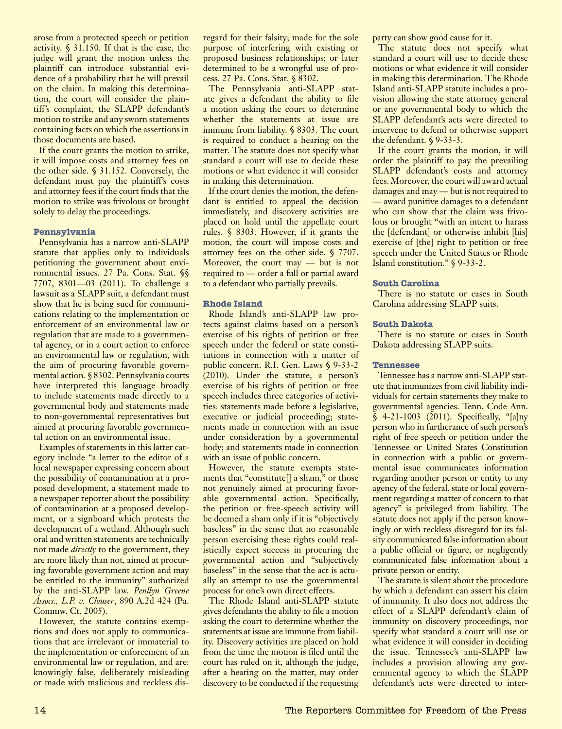arose from a protected speech or petition activity. § 31.150. If that is the case, the judge will grant the motion unless the plaintiff can introduce substantial evidence of a probability that he will prevail on the claim. In making this determination, the court will consider the plaintiff's complaint, the SLAPP defendant's motion to strike and any sworn statements containing facts on which the assertions in those documents are based.

If the court grants the motion to strike, it will impose costs and attorney fees on the other side. § 31.152. Conversely, the defendant must pay the plaintiff's costs and attorney fees if the court finds that the motion to strike was frivolous or brought solely to delay the proceedings.

#### **Pennsylvania**

Pennsylvania has a narrow anti-SLAPP statute that applies only to individuals petitioning the government about environmental issues. 27 Pa. Cons. Stat. §§ 7707, 8301—03 (2011). To challenge a lawsuit as a SLAPP suit, a defendant must show that he is being sued for communications relating to the implementation or enforcement of an environmental law or regulation that are made to a governmental agency, or in a court action to enforce an environmental law or regulation, with the aim of procuring favorable governmental action. § 8302. Pennsylvania courts have interpreted this language broadly to include statements made directly to a governmental body and statements made to non-governmental representatives but aimed at procuring favorable governmental action on an environmental issue.

Examples of statements in this latter category include "a letter to the editor of a local newspaper expressing concern about the possibility of contamination at a proposed development, a statement made to a newspaper reporter about the possibility of contamination at a proposed development, or a signboard which protests the development of a wetland. Although such oral and written statements are technically not made *directly* to the government, they are more likely than not, aimed at procuring favorable government action and may be entitled to the immunity" authorized by the anti-SLAPP law. *Penllyn Greene Assocs., L.P. v. Clouser*, 890 A.2d 424 (Pa. Commw. Ct. 2005).

However, the statute contains exemptions and does not apply to communications that are irrelevant or immaterial to the implementation or enforcement of an environmental law or regulation, and are: knowingly false, deliberately misleading or made with malicious and reckless disregard for their falsity; made for the sole purpose of interfering with existing or proposed business relationships; or later determined to be a wrongful use of process. 27 Pa. Cons. Stat. § 8302.

The Pennsylvania anti-SLAPP statute gives a defendant the ability to file a motion asking the court to determine whether the statements at issue are immune from liability. § 8303. The court is required to conduct a hearing on the matter. The statute does not specify what standard a court will use to decide these motions or what evidence it will consider in making this determination.

If the court denies the motion, the defendant is entitled to appeal the decision immediately, and discovery activities are placed on hold until the appellate court rules. § 8303. However, if it grants the motion, the court will impose costs and attorney fees on the other side. § 7707. Moreover, the court may — but is not required to — order a full or partial award to a defendant who partially prevails.

# **Rhode Island**

Rhode Island's anti-SLAPP law protects against claims based on a person's exercise of his rights of petition or free speech under the federal or state constitutions in connection with a matter of public concern. R.I. Gen. Laws § 9-33-2 (2010). Under the statute, a person's exercise of his rights of petition or free speech includes three categories of activities: statements made before a legislative, executive or judicial proceeding; statements made in connection with an issue under consideration by a governmental body; and statements made in connection with an issue of public concern.

However, the statute exempts statements that "constitute<sup>[]</sup> a sham," or those not genuinely aimed at procuring favorable governmental action. Specifically, the petition or free-speech activity will be deemed a sham only if it is "objectively baseless" in the sense that no reasonable person exercising these rights could realistically expect success in procuring the governmental action and "subjectively baseless" in the sense that the act is actually an attempt to use the governmental process for one's own direct effects.

The Rhode Island anti-SLAPP statute gives defendants the ability to file a motion asking the court to determine whether the statements at issue are immune from liability. Discovery activities are placed on hold from the time the motion is filed until the court has ruled on it, although the judge, after a hearing on the matter, may order discovery to be conducted if the requesting party can show good cause for it.

The statute does not specify what standard a court will use to decide these motions or what evidence it will consider in making this determination. The Rhode Island anti-SLAPP statute includes a provision allowing the state attorney general or any governmental body to which the SLAPP defendant's acts were directed to intervene to defend or otherwise support the defendant. § 9-33-3.

If the court grants the motion, it will order the plaintiff to pay the prevailing SLAPP defendant's costs and attorney fees. Moreover, the court will award actual damages and may — but is not required to — award punitive damages to a defendant who can show that the claim was frivolous or brought "with an intent to harass the [defendant] or otherwise inhibit [his] exercise of [the] right to petition or free speech under the United States or Rhode Island constitution." § 9-33-2.

# **South Carolina**

There is no statute or cases in South Carolina addressing SLAPP suits.

#### **South Dakota**

There is no statute or cases in South Dakota addressing SLAPP suits.

#### **Tennessee**

Tennessee has a narrow anti-SLAPP statute that immunizes from civil liability individuals for certain statements they make to governmental agencies. Tenn. Code Ann.  $\bar{\S}$  4-21-1003 (2011). Specifically, "[a]ny person who in furtherance of such person's right of free speech or petition under the Tennessee or United States Constitution in connection with a public or governmental issue communicates information regarding another person or entity to any agency of the federal, state or local government regarding a matter of concern to that agency" is privileged from liability. The statute does not apply if the person knowingly or with reckless disregard for its falsity communicated false information about a public official or figure, or negligently communicated false information about a private person or entity.

The statute is silent about the procedure by which a defendant can assert his claim of immunity. It also does not address the effect of a SLAPP defendant's claim of immunity on discovery proceedings, nor specify what standard a court will use or what evidence it will consider in deciding the issue. Tennessee's anti-SLAPP law includes a provision allowing any governmental agency to which the SLAPP defendant's acts were directed to inter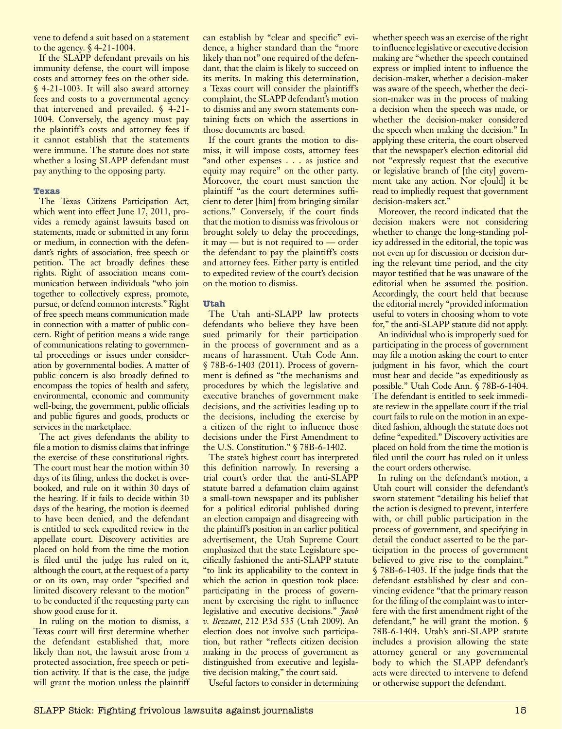vene to defend a suit based on a statement to the agency. § 4-21-1004.

If the SLAPP defendant prevails on his immunity defense, the court will impose costs and attorney fees on the other side. § 4-21-1003. It will also award attorney fees and costs to a governmental agency that intervened and prevailed. § 4-21- 1004. Conversely, the agency must pay the plaintiff's costs and attorney fees if it cannot establish that the statements were immune. The statute does not state whether a losing SLAPP defendant must pay anything to the opposing party.

# **Texas**

The Texas Citizens Participation Act, which went into effect June 17, 2011, provides a remedy against lawsuits based on statements, made or submitted in any form or medium, in connection with the defendant's rights of association, free speech or petition. The act broadly defines these rights. Right of association means communication between individuals "who join together to collectively express, promote, pursue, or defend common interests." Right of free speech means communication made in connection with a matter of public concern. Right of petition means a wide range of communications relating to governmental proceedings or issues under consideration by governmental bodies. A matter of public concern is also broadly defined to encompass the topics of health and safety, environmental, economic and community well-being, the government, public officials and public figures and goods, products or services in the marketplace.

The act gives defendants the ability to file a motion to dismiss claims that infringe the exercise of these constitutional rights. The court must hear the motion within 30 days of its filing, unless the docket is overbooked, and rule on it within 30 days of the hearing. If it fails to decide within 30 days of the hearing, the motion is deemed to have been denied, and the defendant is entitled to seek expedited review in the appellate court. Discovery activities are placed on hold from the time the motion is filed until the judge has ruled on it, although the court, at the request of a party or on its own, may order "specified and limited discovery relevant to the motion" to be conducted if the requesting party can show good cause for it.

In ruling on the motion to dismiss, a Texas court will first determine whether the defendant established that, more likely than not, the lawsuit arose from a protected association, free speech or petition activity. If that is the case, the judge will grant the motion unless the plaintiff can establish by "clear and specific" evidence, a higher standard than the "more likely than not" one required of the defendant, that the claim is likely to succeed on its merits. In making this determination, a Texas court will consider the plaintiff's complaint, the SLAPP defendant's motion to dismiss and any sworn statements containing facts on which the assertions in those documents are based.

If the court grants the motion to dismiss, it will impose costs, attorney fees "and other expenses . . . as justice and equity may require" on the other party. Moreover, the court must sanction the plaintiff "as the court determines sufficient to deter [him] from bringing similar actions." Conversely, if the court finds that the motion to dismiss was frivolous or brought solely to delay the proceedings, it may — but is not required to — order the defendant to pay the plaintiff's costs and attorney fees. Either party is entitled to expedited review of the court's decision on the motion to dismiss.

# **Utah**

The Utah anti-SLAPP law protects defendants who believe they have been sued primarily for their participation in the process of government and as a means of harassment. Utah Code Ann. § 78B-6-1403 (2011). Process of government is defined as "the mechanisms and procedures by which the legislative and executive branches of government make decisions, and the activities leading up to the decisions, including the exercise by a citizen of the right to influence those decisions under the First Amendment to the U.S. Constitution." § 78B-6-1402.

The state's highest court has interpreted this definition narrowly. In reversing a trial court's order that the anti-SLAPP statute barred a defamation claim against a small-town newspaper and its publisher for a political editorial published during an election campaign and disagreeing with the plaintiff's position in an earlier political advertisement, the Utah Supreme Court emphasized that the state Legislature specifically fashioned the anti-SLAPP statute "to link its applicability to the context in which the action in question took place: participating in the process of government by exercising the right to influence legislative and executive decisions." *Jacob v. Bezzant*, 212 P.3d 535 (Utah 2009). An election does not involve such participation, but rather "reflects citizen decision making in the process of government as distinguished from executive and legislative decision making," the court said.

Useful factors to consider in determining

whether speech was an exercise of the right to influence legislative or executive decision making are "whether the speech contained express or implied intent to influence the decision-maker, whether a decision-maker was aware of the speech, whether the decision-maker was in the process of making a decision when the speech was made, or whether the decision-maker considered the speech when making the decision." In applying these criteria, the court observed that the newspaper's election editorial did not "expressly request that the executive or legislative branch of [the city] government take any action. Nor c[ould] it be read to impliedly request that government decision-makers act."

Moreover, the record indicated that the decision makers were not considering whether to change the long-standing policy addressed in the editorial, the topic was not even up for discussion or decision during the relevant time period, and the city mayor testified that he was unaware of the editorial when he assumed the position. Accordingly, the court held that because the editorial merely "provided information useful to voters in choosing whom to vote for," the anti-SLAPP statute did not apply.

An individual who is improperly sued for participating in the process of government may file a motion asking the court to enter judgment in his favor, which the court must hear and decide "as expeditiously as possible." Utah Code Ann. § 78B-6-1404. The defendant is entitled to seek immediate review in the appellate court if the trial court fails to rule on the motion in an expedited fashion, although the statute does not define "expedited." Discovery activities are placed on hold from the time the motion is filed until the court has ruled on it unless the court orders otherwise.

In ruling on the defendant's motion, a Utah court will consider the defendant's sworn statement "detailing his belief that the action is designed to prevent, interfere with, or chill public participation in the process of government, and specifying in detail the conduct asserted to be the participation in the process of government believed to give rise to the complaint." § 78B-6-1403. If the judge finds that the defendant established by clear and convincing evidence "that the primary reason for the filing of the complaint was to interfere with the first amendment right of the defendant," he will grant the motion. § 78B-6-1404. Utah's anti-SLAPP statute includes a provision allowing the state attorney general or any governmental body to which the SLAPP defendant's acts were directed to intervene to defend or otherwise support the defendant.